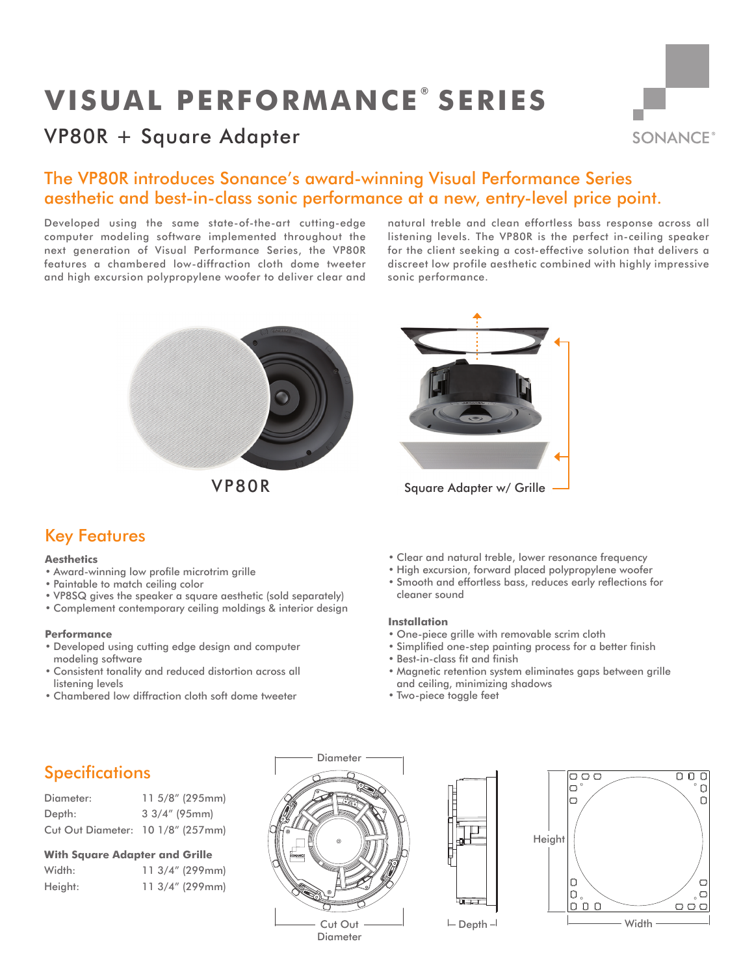# **VISUAL PERFORMANCE ® SERIES**

# VP80R + Square Adapter



### The VP80R introduces Sonance's award-winning Visual Performance Series aesthetic and best-in-class sonic performance at a new, entry-level price point.

Developed using the same state-of-the-art cutting-edge computer modeling software implemented throughout the next generation of Visual Performance Series, the VP80R features a chambered low-diffraction cloth dome tweeter and high excursion polypropylene woofer to deliver clear and natural treble and clean effortless bass response across all listening levels. The VP80R is the perfect in-ceiling speaker for the client seeking a cost-effective solution that delivers a discreet low profile aesthetic combined with highly impressive sonic performance.



VP80R



## Key Features

### **Aesthetics**

- Award-winning low profile microtrim grille
- Paintable to match ceiling color
- VP8SQ gives the speaker a square aesthetic (sold separately)
- Complement contemporary ceiling moldings & interior design

### **Performance**

- Developed using cutting edge design and computer modeling software
- Consistent tonality and reduced distortion across all listening levels
- Chambered low diffraction cloth soft dome tweeter
- Clear and natural treble, lower resonance frequency
- High excursion, forward placed polypropylene woofer
- Smooth and effortless bass, reduces early reflections for cleaner sound

### **Installation**

- One-piece grille with removable scrim cloth
- Simplified one-step painting process for a better finish
- Best-in-class fit and finish
- Magnetic retention system eliminates gaps between grille and ceiling, minimizing shadows
- Two-piece toggle feet

# **Specifications**

| Diameter:                         | $11.5/8''$ (295mm) |
|-----------------------------------|--------------------|
| Depth:                            | $33/4''$ (95mm)    |
| Cut Out Diameter: 10 1/8" (257mm) |                    |

### **With Square Adapter and Grille**

| Width:  |  | $11.3/4''$ (299mm) |
|---------|--|--------------------|
| Height: |  | $11.3/4''$ (299mm) |